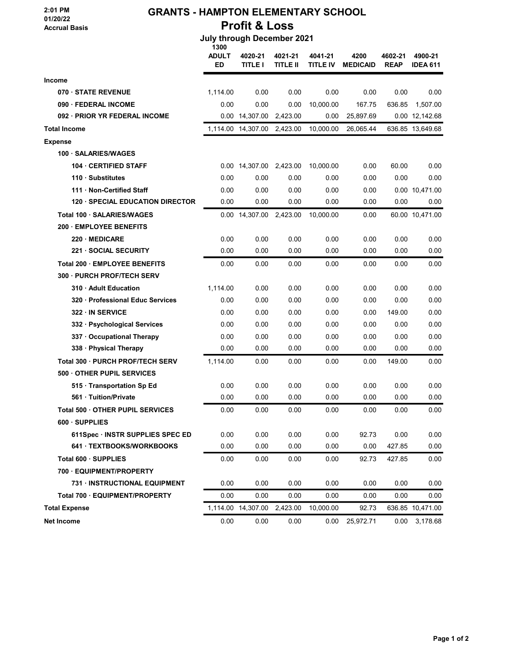## 2:01 PM 01/20/22 Accrual Basis

# GRANTS - HAMPTON ELEMENTARY SCHOOL Profit & Loss

## July through December 2021

|                                         | 1300<br><b>ADULT</b><br>ED | 4020-21<br><b>TITLE I</b> | 4021-21<br><b>TITLE II</b> | 4041-21<br>TITLE IV | 4200<br><b>MEDICAID</b> | 4602-21<br><b>REAP</b> | 4900-21<br><b>IDEA 611</b> |
|-----------------------------------------|----------------------------|---------------------------|----------------------------|---------------------|-------------------------|------------------------|----------------------------|
| <b>Income</b>                           |                            |                           |                            |                     |                         |                        |                            |
| 070 · STATE REVENUE                     | 1,114.00                   | 0.00                      | 0.00                       | 0.00                | 0.00                    | 0.00                   | 0.00                       |
| 090 FEDERAL INCOME                      | 0.00                       | 0.00                      | 0.00                       | 10,000.00           | 167.75                  | 636.85                 | 1,507.00                   |
| 092 · PRIOR YR FEDERAL INCOME           |                            | 0.00 14,307.00            | 2,423.00                   | 0.00                | 25,897.69               |                        | 0.00 12,142.68             |
| <b>Total Income</b>                     |                            | 1,114.00 14,307.00        | 2,423.00                   | 10,000.00           | 26,065.44               |                        | 636.85 13,649.68           |
| <b>Expense</b>                          |                            |                           |                            |                     |                         |                        |                            |
| 100 SALARIES/WAGES                      |                            |                           |                            |                     |                         |                        |                            |
| <b>104 CERTIFIED STAFF</b>              |                            | 0.00 14,307.00 2,423.00   |                            | 10,000.00           | 0.00                    | 60.00                  | 0.00                       |
| 110 Substitutes                         | 0.00                       | 0.00                      | 0.00                       | 0.00                | 0.00                    | 0.00                   | 0.00                       |
| 111 Non-Certified Staff                 | 0.00                       | 0.00                      | 0.00                       | 0.00                | 0.00                    |                        | 0.00 10,471.00             |
| <b>120 - SPECIAL EDUCATION DIRECTOR</b> | 0.00                       | 0.00                      | 0.00                       | 0.00                | 0.00                    | 0.00                   | 0.00                       |
| Total 100 · SALARIES/WAGES              |                            | 0.00 14,307.00 2,423.00   |                            | 10,000.00           | 0.00                    |                        | 60.00 10,471.00            |
| <b>200 EMPLOYEE BENEFITS</b>            |                            |                           |                            |                     |                         |                        |                            |
| 220 MEDICARE                            | 0.00                       | 0.00                      | 0.00                       | 0.00                | 0.00                    | 0.00                   | 0.00                       |
| <b>221 SOCIAL SECURITY</b>              | 0.00                       | 0.00                      | 0.00                       | 0.00                | 0.00                    | 0.00                   | 0.00                       |
| Total 200 · EMPLOYEE BENEFITS           | 0.00                       | 0.00                      | 0.00                       | 0.00                | 0.00                    | 0.00                   | 0.00                       |
| 300 PURCH PROF/TECH SERV                |                            |                           |                            |                     |                         |                        |                            |
| 310 Adult Education                     | 1,114.00                   | 0.00                      | 0.00                       | 0.00                | 0.00                    | 0.00                   | 0.00                       |
| 320 Professional Educ Services          | 0.00                       | 0.00                      | 0.00                       | 0.00                | 0.00                    | 0.00                   | 0.00                       |
| 322 IN SERVICE                          | 0.00                       | 0.00                      | 0.00                       | 0.00                | 0.00                    | 149.00                 | 0.00                       |
| 332 · Psychological Services            | 0.00                       | 0.00                      | 0.00                       | 0.00                | 0.00                    | 0.00                   | 0.00                       |
| 337 · Occupational Therapy              | 0.00                       | 0.00                      | 0.00                       | 0.00                | 0.00                    | 0.00                   | 0.00                       |
| 338 · Physical Therapy                  | 0.00                       | 0.00                      | 0.00                       | 0.00                | 0.00                    | 0.00                   | 0.00                       |
| Total 300 · PURCH PROF/TECH SERV        | 1,114.00                   | 0.00                      | 0.00                       | 0.00                | 0.00                    | 149.00                 | 0.00                       |
| 500 OTHER PUPIL SERVICES                |                            |                           |                            |                     |                         |                        |                            |
| 515 Transportation Sp Ed                | 0.00                       | 0.00                      | 0.00                       | 0.00                | 0.00                    | 0.00                   | 0.00                       |
| 561 Tuition/Private                     | 0.00                       | 0.00                      | 0.00                       | 0.00                | 0.00                    | 0.00                   | 0.00                       |
| Total 500 OTHER PUPIL SERVICES          | 0.00                       | 0.00                      | 0.00                       | 0.00                | 0.00                    | 0.00                   | 0.00                       |
| 600 SUPPLIES                            |                            |                           |                            |                     |                         |                        |                            |
| 611Spec · INSTR SUPPLIES SPEC ED        | 0.00                       | 0.00                      | 0.00                       | 0.00                | 92.73                   | 0.00                   | 0.00                       |
| 641 · TEXTBOOKS/WORKBOOKS               | 0.00                       | 0.00                      | 0.00                       | 0.00                | 0.00                    | 427.85                 | 0.00                       |
| Total 600 · SUPPLIES                    | 0.00                       | 0.00                      | 0.00                       | 0.00                | 92.73                   | 427.85                 | 0.00                       |
| 700 · EQUIPMENT/PROPERTY                |                            |                           |                            |                     |                         |                        |                            |
| 731 · INSTRUCTIONAL EQUIPMENT           | 0.00                       | 0.00                      | 0.00                       | 0.00                | 0.00                    | 0.00                   | 0.00                       |
| Total 700 · EQUIPMENT/PROPERTY          | 0.00                       | 0.00                      | 0.00                       | 0.00                | 0.00                    | 0.00                   | 0.00                       |
| <b>Total Expense</b>                    |                            | 1,114.00 14,307.00        | 2,423.00                   | 10,000.00           | 92.73                   |                        | 636.85 10,471.00           |
| <b>Net Income</b>                       | 0.00                       | 0.00                      | 0.00                       | 0.00                | 25,972.71               | 0.00                   | 3,178.68                   |